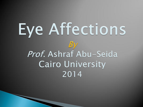# Eye Affections By Prof. Ashraf Abu-Seida **Cairo University** 2014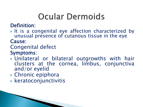# **Ocular Dermoids**

Definition:

It is a congenital eye affection characterized by unusual presence of cutanous tissue in the eye Cause:

### Congenital defect

#### Symptoms:

- Unilateral or bilateral outgrowths with hair clusters at the cornea, limbus, conjunctiva and/or eyelid
- ▶ Chronic epiphora
- $\blacktriangleright$  keratoconjunctivitis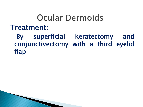# **Ocular Dermoids**

#### Treatment:

 By superficial keratectomy and conjunctivectomy with a third eyelid flap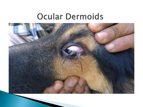## **Ocular Dermoids**

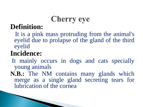# **Cherry eye**

#### **Definition:**

 It is a pink mass protruding from the animal's eyelid due to prolapse of the gland of the third eyelid

## **Incidence:**

It mainly occurs in dogs and cats specially young animals

**N.B.:** The NM contains many glands which merge as a single gland secreting tears for lubrication of the cornea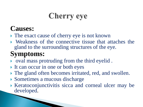# **Cherry eye**

### **Causes:**

- The exact cause of cherry eye is not known
- Weakness of the connective tissue that attaches the gland to the surrounding structures of the eye.

## **Symptoms:**

- $\triangleright$  oval mass protruding from the third eyelid.
- It can occur in one or both eyes
- The gland often becomes irritated, red, and swollen.
- Sometimes a mucous discharge
- Keratoconjunctivitis sicca and corneal ulcer may be developed.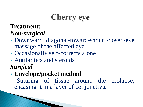# **Cherry eye**

#### **Treatment:**

#### *Non-surgical*

- Downward diagonal-toward-snout closed-eye massage of the affected eye
- Occasionally self-corrects alone
- Antibiotics and steroids *Surgical*
- **Envelope/pocket method**

 Suturing of tissue around the prolapse, encasing it in a layer of conjunctiva.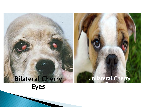### Bilateral Cherry Eyes

Unilateral Cherry

**Eye and the contract of the contract of the contract of the contract of the contract of the contract of the contract of the contract of the contract of the contract of the contract of the contract of the contract of the c**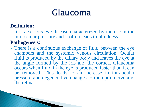#### **Definition:**

It is a serious eye disease characterized by increse in the intraocular pressure and it often leads to blindness.

#### **Pathogenesis:**

• There is a continuous exchange of fluid between the eye chambers and the systemic venous circulation. Ocular fluid is produced by the ciliary body and leaves the eye at the angle formed by the iris and the cornea. Glaucoma occurs when fluid in the eye is produced faster than it can be removed. This leads to an increase in intraocular pressure and degenerative changes to the optic nerve and the retina.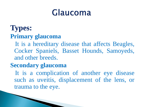### **Types: Primary glaucoma**

 It is a hereditary disease that affects Beagles, Cocker Spaniels, Basset Hounds, Samoyeds, and other breeds.

#### **Secondary glaucoma**

It is a complication of another eye disease such as uveitis, displacement of the lens, or trauma to the eye.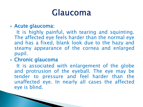#### Acute glaucoma:

 It is highly painful, with tearing and squinting. The affected eye feels harder than the normal eye and has a fixed, blank look due to the hazy and steamy appearance of the cornea and enlarged pupil.

#### Chronic glaucoma

 It is associated with enlargement of the globe and protrusion of the eyeball. The eye may be tender to pressure and feel harder than the unaffected eye. In nearly all cases the affected eye is blind.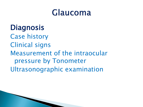### **Diagnosis**

Case history Clinical signs Measurement of the intraocular pressure by Tonometer Ultrasonographic examination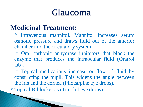### **Medicinal Treatment:**

- \* Intravenous mannitol. Mannitol increases serum osmotic pressure and draws fluid out of the anterior chamber into the circulatory system.
- \* Oral carbonic anhydrase inhibitors that block the enzyme that produces the intraocular fluid (Oratrol tab).
- \* Topical medications increase outflow of fluid by constricting the pupil. This widens the angle between the iris and the cornea (Pilocarpine eye drops).
- \* Topical B-blocker as (Timolol eye drops)